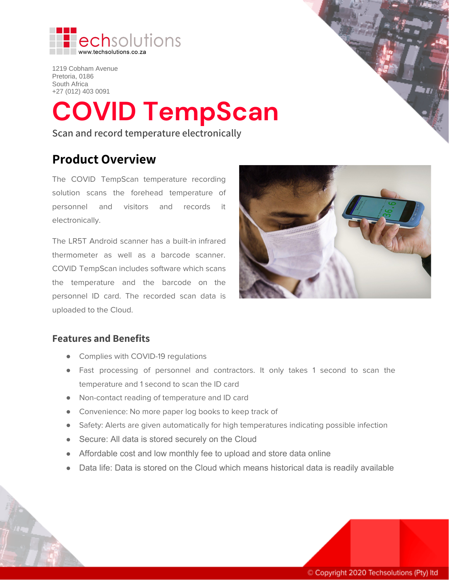

1219 Cobham Avenue Pretoria, 0186 South Africa +27 (012) 403 0091

# **COVID TempScan**

**Scan and record temperature electronically**

## **Product Overview**

The COVID TempScan temperature recording solution scans the forehead temperature of personnel and visitors and records it electronically.

The LR5T Android scanner has a built-in infrared thermometer as well as a barcode scanner. COVID TempScan includes software which scans the temperature and the barcode on the personnel ID card. The recorded scan data is uploaded to the Cloud.



## **Features and Benefits**

- Complies with COVID-19 regulations
- Fast processing of personnel and contractors. It only takes 1 second to scan the temperature and 1 second to scan the ID card
- Non-contact reading of temperature and ID card
- Convenience: No more paper log books to keep track of
- Safety: Alerts are given automatically for high temperatures indicating possible infection
- Secure: All data is stored securely on the Cloud
- Affordable cost and low monthly fee to upload and store data online
- Data life: Data is stored on the Cloud which means historical data is readily available